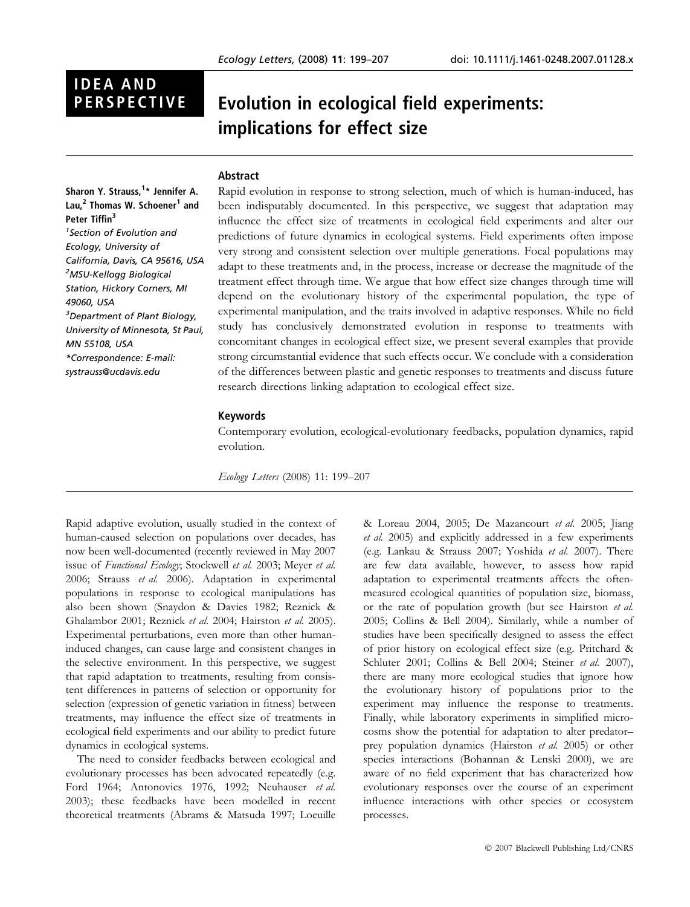# **IDEA AND**<br>PERSPECTIVE

# Evolution in ecological field experiments: implications for effect size

# Abstract

Sharon Y. Strauss,<sup>1</sup>\* Jennifer A. Lau,<sup>2</sup> Thomas W. Schoener<sup>1</sup> and Peter Tiffin<sup>3</sup> <sup>1</sup>Section of Evolution and Ecology, University of California, Davis, CA 95616, USA <sup>2</sup>MSU-Kellogg Biological Station, Hickory Corners, MI 49060, USA 3 Department of Plant Biology, University of Minnesota, St Paul, MN 55108, USA \*Correspondence: E-mail: systrauss@ucdavis.edu

Rapid evolution in response to strong selection, much of which is human-induced, has been indisputably documented. In this perspective, we suggest that adaptation may influence the effect size of treatments in ecological field experiments and alter our predictions of future dynamics in ecological systems. Field experiments often impose very strong and consistent selection over multiple generations. Focal populations may adapt to these treatments and, in the process, increase or decrease the magnitude of the treatment effect through time. We argue that how effect size changes through time will depend on the evolutionary history of the experimental population, the type of experimental manipulation, and the traits involved in adaptive responses. While no field study has conclusively demonstrated evolution in response to treatments with concomitant changes in ecological effect size, we present several examples that provide strong circumstantial evidence that such effects occur. We conclude with a consideration of the differences between plastic and genetic responses to treatments and discuss future research directions linking adaptation to ecological effect size.

#### Keywords

Contemporary evolution, ecological-evolutionary feedbacks, population dynamics, rapid evolution.

Ecology Letters (2008) 11: 199–207

Rapid adaptive evolution, usually studied in the context of human-caused selection on populations over decades, has now been well-documented (recently reviewed in May 2007 issue of Functional Ecology; Stockwell et al. 2003; Meyer et al. 2006; Strauss et al. 2006). Adaptation in experimental populations in response to ecological manipulations has also been shown (Snaydon & Davies 1982; Reznick & Ghalambor 2001; Reznick et al. 2004; Hairston et al. 2005). Experimental perturbations, even more than other humaninduced changes, can cause large and consistent changes in the selective environment. In this perspective, we suggest that rapid adaptation to treatments, resulting from consistent differences in patterns of selection or opportunity for selection (expression of genetic variation in fitness) between treatments, may influence the effect size of treatments in ecological field experiments and our ability to predict future dynamics in ecological systems.

The need to consider feedbacks between ecological and evolutionary processes has been advocated repeatedly (e.g. Ford 1964; Antonovics 1976, 1992; Neuhauser et al. 2003); these feedbacks have been modelled in recent theoretical treatments (Abrams & Matsuda 1997; Loeuille & Loreau 2004, 2005; De Mazancourt et al. 2005; Jiang et al. 2005) and explicitly addressed in a few experiments (e.g. Lankau & Strauss 2007; Yoshida et al. 2007). There are few data available, however, to assess how rapid adaptation to experimental treatments affects the oftenmeasured ecological quantities of population size, biomass, or the rate of population growth (but see Hairston et al. 2005; Collins & Bell 2004). Similarly, while a number of studies have been specifically designed to assess the effect of prior history on ecological effect size (e.g. Pritchard & Schluter 2001; Collins & Bell 2004; Steiner et al. 2007), there are many more ecological studies that ignore how the evolutionary history of populations prior to the experiment may influence the response to treatments. Finally, while laboratory experiments in simplified microcosms show the potential for adaptation to alter predator– prey population dynamics (Hairston et al. 2005) or other species interactions (Bohannan & Lenski 2000), we are aware of no field experiment that has characterized how evolutionary responses over the course of an experiment influence interactions with other species or ecosystem processes.

 $© 2007 Blackwell Publishing Ltd/CNRS$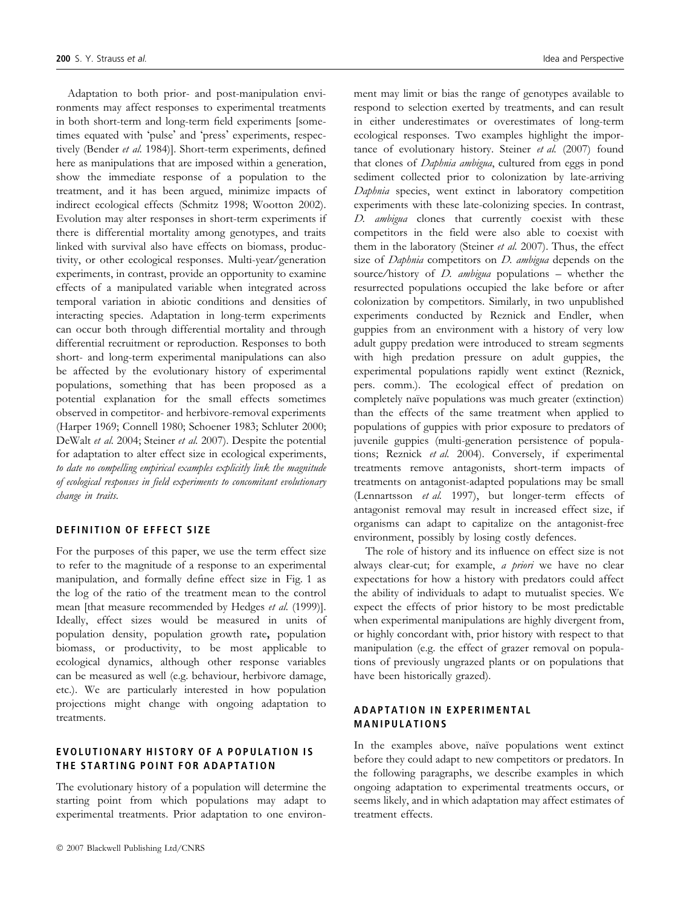Adaptation to both prior- and post-manipulation environments may affect responses to experimental treatments in both short-term and long-term field experiments [sometimes equated with 'pulse' and 'press' experiments, respectively (Bender et al. 1984)]. Short-term experiments, defined here as manipulations that are imposed within a generation, show the immediate response of a population to the treatment, and it has been argued, minimize impacts of indirect ecological effects (Schmitz 1998; Wootton 2002). Evolution may alter responses in short-term experiments if there is differential mortality among genotypes, and traits linked with survival also have effects on biomass, productivity, or other ecological responses. Multi-year⁄ generation experiments, in contrast, provide an opportunity to examine effects of a manipulated variable when integrated across temporal variation in abiotic conditions and densities of interacting species. Adaptation in long-term experiments can occur both through differential mortality and through differential recruitment or reproduction. Responses to both short- and long-term experimental manipulations can also be affected by the evolutionary history of experimental populations, something that has been proposed as a potential explanation for the small effects sometimes observed in competitor- and herbivore-removal experiments (Harper 1969; Connell 1980; Schoener 1983; Schluter 2000; DeWalt et al. 2004; Steiner et al. 2007). Despite the potential for adaptation to alter effect size in ecological experiments, to date no compelling empirical examples explicitly link the magnitude of ecological responses in field experiments to concomitant evolutionary change in traits.

#### DEFINITION OF EFFECT SIZE

For the purposes of this paper, we use the term effect size to refer to the magnitude of a response to an experimental manipulation, and formally define effect size in Fig. 1 as the log of the ratio of the treatment mean to the control mean [that measure recommended by Hedges et al. (1999)]. Ideally, effect sizes would be measured in units of population density, population growth rate, population biomass, or productivity, to be most applicable to ecological dynamics, although other response variables can be measured as well (e.g. behaviour, herbivore damage, etc.). We are particularly interested in how population projections might change with ongoing adaptation to treatments.

# EVOLUTIONARY HISTORY OF A POPULATION IS THE STARTING POINT FOR ADAPTATION

The evolutionary history of a population will determine the starting point from which populations may adapt to experimental treatments. Prior adaptation to one environment may limit or bias the range of genotypes available to respond to selection exerted by treatments, and can result in either underestimates or overestimates of long-term ecological responses. Two examples highlight the importance of evolutionary history. Steiner et al. (2007) found that clones of *Daphnia ambigua*, cultured from eggs in pond sediment collected prior to colonization by late-arriving Daphnia species, went extinct in laboratory competition experiments with these late-colonizing species. In contrast, D. ambigua clones that currently coexist with these competitors in the field were also able to coexist with them in the laboratory (Steiner et al. 2007). Thus, the effect size of Daphnia competitors on D. ambigua depends on the source/history of  $D$ . ambigua populations – whether the resurrected populations occupied the lake before or after colonization by competitors. Similarly, in two unpublished experiments conducted by Reznick and Endler, when guppies from an environment with a history of very low adult guppy predation were introduced to stream segments with high predation pressure on adult guppies, the experimental populations rapidly went extinct (Reznick, pers. comm.). The ecological effect of predation on completely naïve populations was much greater (extinction) than the effects of the same treatment when applied to populations of guppies with prior exposure to predators of juvenile guppies (multi-generation persistence of populations; Reznick et al. 2004). Conversely, if experimental treatments remove antagonists, short-term impacts of treatments on antagonist-adapted populations may be small (Lennartsson et al. 1997), but longer-term effects of antagonist removal may result in increased effect size, if organisms can adapt to capitalize on the antagonist-free environment, possibly by losing costly defences.

The role of history and its influence on effect size is not always clear-cut; for example, a priori we have no clear expectations for how a history with predators could affect the ability of individuals to adapt to mutualist species. We expect the effects of prior history to be most predictable when experimental manipulations are highly divergent from, or highly concordant with, prior history with respect to that manipulation (e.g. the effect of grazer removal on populations of previously ungrazed plants or on populations that have been historically grazed).

# ADAPTATION IN EXPERIMENTAL MANIPULATIONS

In the examples above, naïve populations went extinct before they could adapt to new competitors or predators. In the following paragraphs, we describe examples in which ongoing adaptation to experimental treatments occurs, or seems likely, and in which adaptation may affect estimates of treatment effects.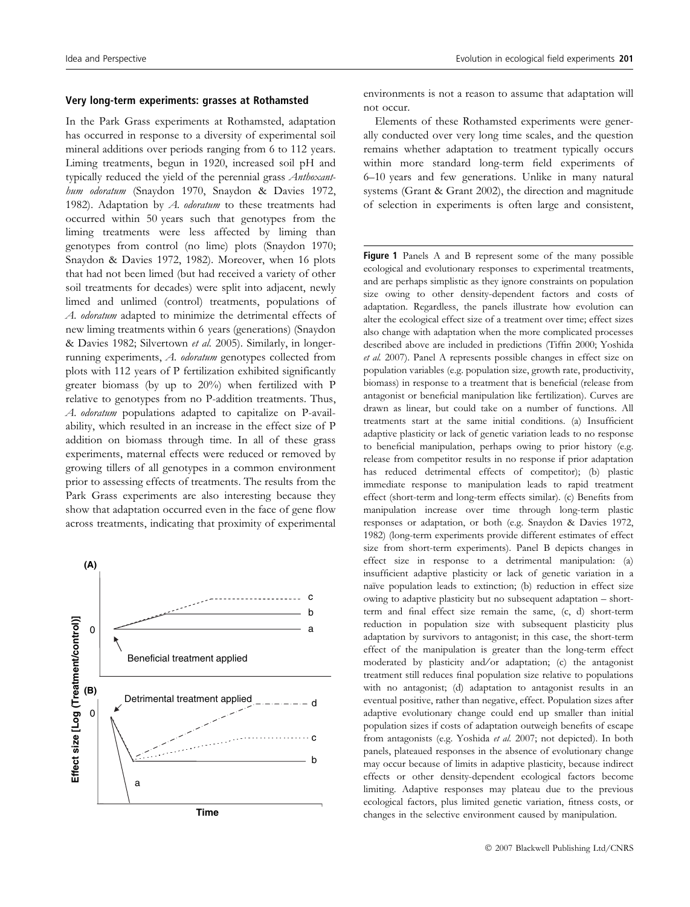#### Very long-term experiments: grasses at Rothamsted

In the Park Grass experiments at Rothamsted, adaptation has occurred in response to a diversity of experimental soil mineral additions over periods ranging from 6 to 112 years. Liming treatments, begun in 1920, increased soil pH and typically reduced the yield of the perennial grass Anthoxanthum odoratum (Snaydon 1970, Snaydon & Davies 1972, 1982). Adaptation by A. odoratum to these treatments had occurred within 50 years such that genotypes from the liming treatments were less affected by liming than genotypes from control (no lime) plots (Snaydon 1970; Snaydon & Davies 1972, 1982). Moreover, when 16 plots that had not been limed (but had received a variety of other soil treatments for decades) were split into adjacent, newly limed and unlimed (control) treatments, populations of A. odoratum adapted to minimize the detrimental effects of new liming treatments within 6 years (generations) (Snaydon & Davies 1982; Silvertown et al. 2005). Similarly, in longerrunning experiments, A. odoratum genotypes collected from plots with 112 years of P fertilization exhibited significantly greater biomass (by up to 20%) when fertilized with P relative to genotypes from no P-addition treatments. Thus, A. odoratum populations adapted to capitalize on P-availability, which resulted in an increase in the effect size of P addition on biomass through time. In all of these grass experiments, maternal effects were reduced or removed by growing tillers of all genotypes in a common environment prior to assessing effects of treatments. The results from the Park Grass experiments are also interesting because they show that adaptation occurred even in the face of gene flow across treatments, indicating that proximity of experimental



environments is not a reason to assume that adaptation will not occur.

Elements of these Rothamsted experiments were generally conducted over very long time scales, and the question remains whether adaptation to treatment typically occurs within more standard long-term field experiments of 6–10 years and few generations. Unlike in many natural systems (Grant & Grant 2002), the direction and magnitude of selection in experiments is often large and consistent,

Figure 1 Panels A and B represent some of the many possible ecological and evolutionary responses to experimental treatments, and are perhaps simplistic as they ignore constraints on population size owing to other density-dependent factors and costs of adaptation. Regardless, the panels illustrate how evolution can alter the ecological effect size of a treatment over time; effect sizes also change with adaptation when the more complicated processes described above are included in predictions (Tiffin 2000; Yoshida et al. 2007). Panel A represents possible changes in effect size on population variables (e.g. population size, growth rate, productivity, biomass) in response to a treatment that is beneficial (release from antagonist or beneficial manipulation like fertilization). Curves are drawn as linear, but could take on a number of functions. All treatments start at the same initial conditions. (a) Insufficient adaptive plasticity or lack of genetic variation leads to no response to beneficial manipulation, perhaps owing to prior history (e.g. release from competitor results in no response if prior adaptation has reduced detrimental effects of competitor); (b) plastic immediate response to manipulation leads to rapid treatment effect (short-term and long-term effects similar). (c) Benefits from manipulation increase over time through long-term plastic responses or adaptation, or both (e.g. Snaydon & Davies 1972, 1982) (long-term experiments provide different estimates of effect size from short-term experiments). Panel B depicts changes in effect size in response to a detrimental manipulation: (a) insufficient adaptive plasticity or lack of genetic variation in a naïve population leads to extinction; (b) reduction in effect size owing to adaptive plasticity but no subsequent adaptation – shortterm and final effect size remain the same, (c, d) short-term reduction in population size with subsequent plasticity plus adaptation by survivors to antagonist; in this case, the short-term effect of the manipulation is greater than the long-term effect moderated by plasticity and/or adaptation; (c) the antagonist treatment still reduces final population size relative to populations with no antagonist; (d) adaptation to antagonist results in an eventual positive, rather than negative, effect. Population sizes after adaptive evolutionary change could end up smaller than initial population sizes if costs of adaptation outweigh benefits of escape from antagonists (e.g. Yoshida et al. 2007; not depicted). In both panels, plateaued responses in the absence of evolutionary change may occur because of limits in adaptive plasticity, because indirect effects or other density-dependent ecological factors become limiting. Adaptive responses may plateau due to the previous ecological factors, plus limited genetic variation, fitness costs, or changes in the selective environment caused by manipulation.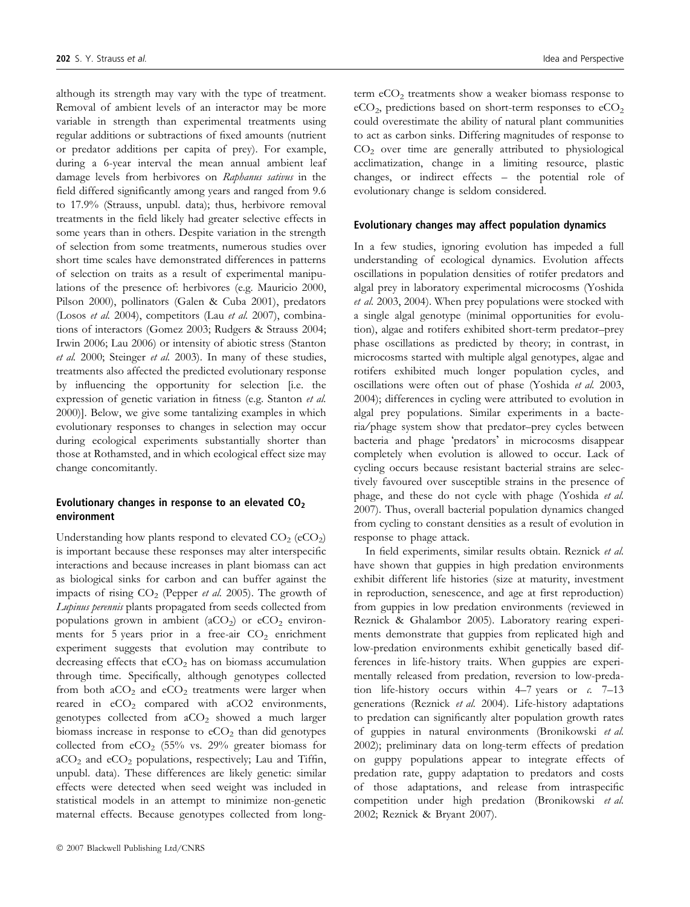although its strength may vary with the type of treatment. Removal of ambient levels of an interactor may be more variable in strength than experimental treatments using regular additions or subtractions of fixed amounts (nutrient or predator additions per capita of prey). For example, during a 6-year interval the mean annual ambient leaf damage levels from herbivores on Raphanus sativus in the field differed significantly among years and ranged from 9.6 to 17.9% (Strauss, unpubl. data); thus, herbivore removal treatments in the field likely had greater selective effects in some years than in others. Despite variation in the strength of selection from some treatments, numerous studies over short time scales have demonstrated differences in patterns of selection on traits as a result of experimental manipulations of the presence of: herbivores (e.g. Mauricio 2000, Pilson 2000), pollinators (Galen & Cuba 2001), predators (Losos et al. 2004), competitors (Lau et al. 2007), combinations of interactors (Gomez 2003; Rudgers & Strauss 2004; Irwin 2006; Lau 2006) or intensity of abiotic stress (Stanton et al. 2000; Steinger et al. 2003). In many of these studies, treatments also affected the predicted evolutionary response by influencing the opportunity for selection [i.e. the expression of genetic variation in fitness (e.g. Stanton et al. 2000)]. Below, we give some tantalizing examples in which evolutionary responses to changes in selection may occur during ecological experiments substantially shorter than those at Rothamsted, and in which ecological effect size may change concomitantly.

## Evolutionary changes in response to an elevated  $CO<sub>2</sub>$ environment

Understanding how plants respond to elevated  $CO<sub>2</sub>$  (eCO<sub>2</sub>) is important because these responses may alter interspecific interactions and because increases in plant biomass can act as biological sinks for carbon and can buffer against the impacts of rising  $CO<sub>2</sub>$  (Pepper et al. 2005). The growth of Lupinus perennis plants propagated from seeds collected from populations grown in ambient ( $aCO<sub>2</sub>$ ) or  $eCO<sub>2</sub>$  environments for 5 years prior in a free-air  $CO<sub>2</sub>$  enrichment experiment suggests that evolution may contribute to decreasing effects that eCO<sub>2</sub> has on biomass accumulation through time. Specifically, although genotypes collected from both  $aCO<sub>2</sub>$  and  $eCO<sub>2</sub>$  treatments were larger when reared in  $eCO<sub>2</sub>$  compared with aCO2 environments, genotypes collected from  $aCO<sub>2</sub>$  showed a much larger biomass increase in response to  $eCO<sub>2</sub>$  than did genotypes collected from  $eCO<sub>2</sub>$  (55% vs. 29% greater biomass for  $aCO<sub>2</sub>$  and  $eCO<sub>2</sub>$  populations, respectively; Lau and Tiffin, unpubl. data). These differences are likely genetic: similar effects were detected when seed weight was included in statistical models in an attempt to minimize non-genetic maternal effects. Because genotypes collected from longterm  $eCO<sub>2</sub>$  treatments show a weaker biomass response to  $eCO<sub>2</sub>$ , predictions based on short-term responses to  $eCO<sub>2</sub>$ could overestimate the ability of natural plant communities to act as carbon sinks. Differing magnitudes of response to  $CO<sub>2</sub>$  over time are generally attributed to physiological acclimatization, change in a limiting resource, plastic changes, or indirect effects – the potential role of evolutionary change is seldom considered.

#### Evolutionary changes may affect population dynamics

In a few studies, ignoring evolution has impeded a full understanding of ecological dynamics. Evolution affects oscillations in population densities of rotifer predators and algal prey in laboratory experimental microcosms (Yoshida et al. 2003, 2004). When prey populations were stocked with a single algal genotype (minimal opportunities for evolution), algae and rotifers exhibited short-term predator–prey phase oscillations as predicted by theory; in contrast, in microcosms started with multiple algal genotypes, algae and rotifers exhibited much longer population cycles, and oscillations were often out of phase (Yoshida et al. 2003, 2004); differences in cycling were attributed to evolution in algal prey populations. Similar experiments in a bacteria/phage system show that predator-prey cycles between bacteria and phage 'predators' in microcosms disappear completely when evolution is allowed to occur. Lack of cycling occurs because resistant bacterial strains are selectively favoured over susceptible strains in the presence of phage, and these do not cycle with phage (Yoshida et al. 2007). Thus, overall bacterial population dynamics changed from cycling to constant densities as a result of evolution in response to phage attack.

In field experiments, similar results obtain. Reznick et al. have shown that guppies in high predation environments exhibit different life histories (size at maturity, investment in reproduction, senescence, and age at first reproduction) from guppies in low predation environments (reviewed in Reznick & Ghalambor 2005). Laboratory rearing experiments demonstrate that guppies from replicated high and low-predation environments exhibit genetically based differences in life-history traits. When guppies are experimentally released from predation, reversion to low-predation life-history occurs within  $4-7$  years or  $\alpha$ . 7-13 generations (Reznick et al. 2004). Life-history adaptations to predation can significantly alter population growth rates of guppies in natural environments (Bronikowski et al. 2002); preliminary data on long-term effects of predation on guppy populations appear to integrate effects of predation rate, guppy adaptation to predators and costs of those adaptations, and release from intraspecific competition under high predation (Bronikowski et al. 2002; Reznick & Bryant 2007).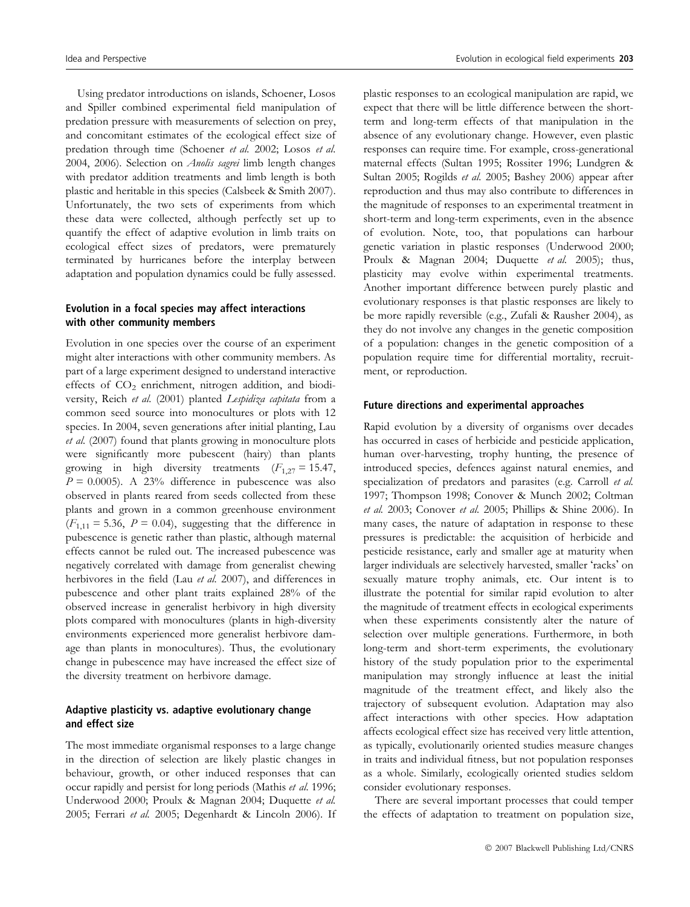Using predator introductions on islands, Schoener, Losos and Spiller combined experimental field manipulation of predation pressure with measurements of selection on prey, and concomitant estimates of the ecological effect size of predation through time (Schoener et al. 2002; Losos et al. 2004, 2006). Selection on Anolis sagrei limb length changes with predator addition treatments and limb length is both plastic and heritable in this species (Calsbeek & Smith 2007). Unfortunately, the two sets of experiments from which these data were collected, although perfectly set up to quantify the effect of adaptive evolution in limb traits on ecological effect sizes of predators, were prematurely terminated by hurricanes before the interplay between adaptation and population dynamics could be fully assessed.

# Evolution in a focal species may affect interactions with other community members

Evolution in one species over the course of an experiment might alter interactions with other community members. As part of a large experiment designed to understand interactive effects of  $CO<sub>2</sub>$  enrichment, nitrogen addition, and biodiversity, Reich et al. (2001) planted Lespidiza capitata from a common seed source into monocultures or plots with 12 species. In 2004, seven generations after initial planting, Lau et al. (2007) found that plants growing in monoculture plots were significantly more pubescent (hairy) than plants growing in high diversity treatments  $(F_{1,27} = 15.47)$ ,  $P = 0.0005$ ). A 23% difference in pubescence was also observed in plants reared from seeds collected from these plants and grown in a common greenhouse environment  $(F_{1,11} = 5.36, P = 0.04)$ , suggesting that the difference in pubescence is genetic rather than plastic, although maternal effects cannot be ruled out. The increased pubescence was negatively correlated with damage from generalist chewing herbivores in the field (Lau et al. 2007), and differences in pubescence and other plant traits explained 28% of the observed increase in generalist herbivory in high diversity plots compared with monocultures (plants in high-diversity environments experienced more generalist herbivore damage than plants in monocultures). Thus, the evolutionary change in pubescence may have increased the effect size of the diversity treatment on herbivore damage.

## Adaptive plasticity vs. adaptive evolutionary change and effect size

The most immediate organismal responses to a large change in the direction of selection are likely plastic changes in behaviour, growth, or other induced responses that can occur rapidly and persist for long periods (Mathis et al. 1996; Underwood 2000; Proulx & Magnan 2004; Duquette et al. 2005; Ferrari et al. 2005; Degenhardt & Lincoln 2006). If plastic responses to an ecological manipulation are rapid, we expect that there will be little difference between the shortterm and long-term effects of that manipulation in the absence of any evolutionary change. However, even plastic responses can require time. For example, cross-generational maternal effects (Sultan 1995; Rossiter 1996; Lundgren & Sultan 2005; Rogilds et al. 2005; Bashey 2006) appear after reproduction and thus may also contribute to differences in the magnitude of responses to an experimental treatment in short-term and long-term experiments, even in the absence of evolution. Note, too, that populations can harbour genetic variation in plastic responses (Underwood 2000; Proulx & Magnan 2004; Duquette et al. 2005); thus, plasticity may evolve within experimental treatments. Another important difference between purely plastic and evolutionary responses is that plastic responses are likely to be more rapidly reversible (e.g., Zufali & Rausher 2004), as they do not involve any changes in the genetic composition of a population: changes in the genetic composition of a population require time for differential mortality, recruitment, or reproduction.

#### Future directions and experimental approaches

Rapid evolution by a diversity of organisms over decades has occurred in cases of herbicide and pesticide application, human over-harvesting, trophy hunting, the presence of introduced species, defences against natural enemies, and specialization of predators and parasites (e.g. Carroll et al. 1997; Thompson 1998; Conover & Munch 2002; Coltman et al. 2003; Conover et al. 2005; Phillips & Shine 2006). In many cases, the nature of adaptation in response to these pressures is predictable: the acquisition of herbicide and pesticide resistance, early and smaller age at maturity when larger individuals are selectively harvested, smaller 'racks' on sexually mature trophy animals, etc. Our intent is to illustrate the potential for similar rapid evolution to alter the magnitude of treatment effects in ecological experiments when these experiments consistently alter the nature of selection over multiple generations. Furthermore, in both long-term and short-term experiments, the evolutionary history of the study population prior to the experimental manipulation may strongly influence at least the initial magnitude of the treatment effect, and likely also the trajectory of subsequent evolution. Adaptation may also affect interactions with other species. How adaptation affects ecological effect size has received very little attention, as typically, evolutionarily oriented studies measure changes in traits and individual fitness, but not population responses as a whole. Similarly, ecologically oriented studies seldom consider evolutionary responses.

There are several important processes that could temper the effects of adaptation to treatment on population size,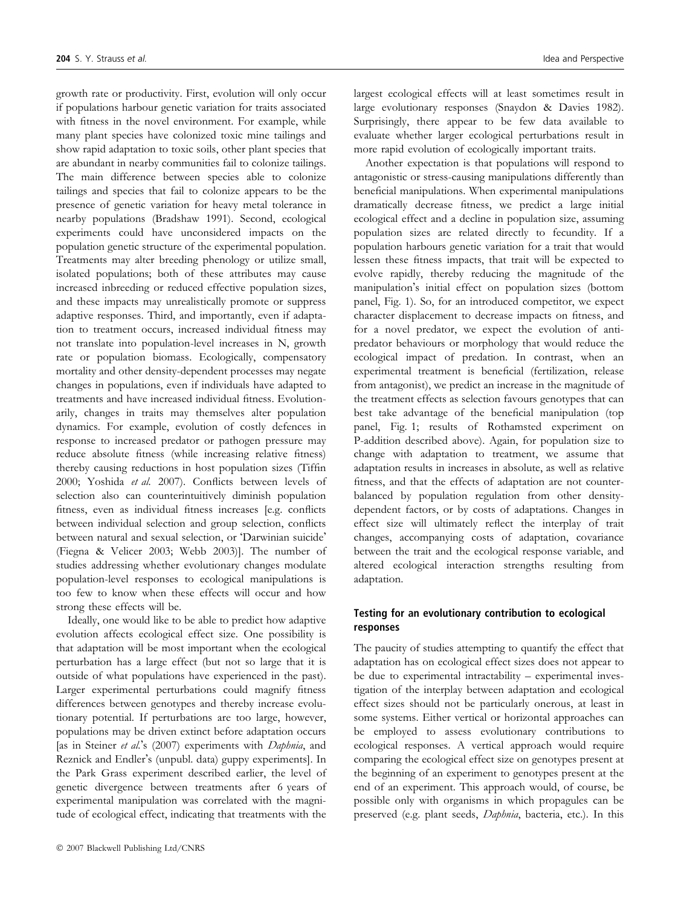growth rate or productivity. First, evolution will only occur if populations harbour genetic variation for traits associated with fitness in the novel environment. For example, while many plant species have colonized toxic mine tailings and show rapid adaptation to toxic soils, other plant species that are abundant in nearby communities fail to colonize tailings. The main difference between species able to colonize tailings and species that fail to colonize appears to be the presence of genetic variation for heavy metal tolerance in nearby populations (Bradshaw 1991). Second, ecological experiments could have unconsidered impacts on the population genetic structure of the experimental population. Treatments may alter breeding phenology or utilize small, isolated populations; both of these attributes may cause increased inbreeding or reduced effective population sizes, and these impacts may unrealistically promote or suppress adaptive responses. Third, and importantly, even if adaptation to treatment occurs, increased individual fitness may not translate into population-level increases in N, growth rate or population biomass. Ecologically, compensatory mortality and other density-dependent processes may negate changes in populations, even if individuals have adapted to treatments and have increased individual fitness. Evolutionarily, changes in traits may themselves alter population dynamics. For example, evolution of costly defences in response to increased predator or pathogen pressure may reduce absolute fitness (while increasing relative fitness) thereby causing reductions in host population sizes (Tiffin 2000; Yoshida et al. 2007). Conflicts between levels of selection also can counterintuitively diminish population fitness, even as individual fitness increases [e.g. conflicts between individual selection and group selection, conflicts between natural and sexual selection, or 'Darwinian suicide' (Fiegna & Velicer 2003; Webb 2003)]. The number of studies addressing whether evolutionary changes modulate population-level responses to ecological manipulations is too few to know when these effects will occur and how strong these effects will be.

Ideally, one would like to be able to predict how adaptive evolution affects ecological effect size. One possibility is that adaptation will be most important when the ecological perturbation has a large effect (but not so large that it is outside of what populations have experienced in the past). Larger experimental perturbations could magnify fitness differences between genotypes and thereby increase evolutionary potential. If perturbations are too large, however, populations may be driven extinct before adaptation occurs [as in Steiner et al.'s (2007) experiments with Daphnia, and Reznick and Endler"s (unpubl. data) guppy experiments]. In the Park Grass experiment described earlier, the level of genetic divergence between treatments after 6 years of experimental manipulation was correlated with the magnitude of ecological effect, indicating that treatments with the

largest ecological effects will at least sometimes result in large evolutionary responses (Snaydon & Davies 1982). Surprisingly, there appear to be few data available to evaluate whether larger ecological perturbations result in more rapid evolution of ecologically important traits.

Another expectation is that populations will respond to antagonistic or stress-causing manipulations differently than beneficial manipulations. When experimental manipulations dramatically decrease fitness, we predict a large initial ecological effect and a decline in population size, assuming population sizes are related directly to fecundity. If a population harbours genetic variation for a trait that would lessen these fitness impacts, that trait will be expected to evolve rapidly, thereby reducing the magnitude of the manipulation"s initial effect on population sizes (bottom panel, Fig. 1). So, for an introduced competitor, we expect character displacement to decrease impacts on fitness, and for a novel predator, we expect the evolution of antipredator behaviours or morphology that would reduce the ecological impact of predation. In contrast, when an experimental treatment is beneficial (fertilization, release from antagonist), we predict an increase in the magnitude of the treatment effects as selection favours genotypes that can best take advantage of the beneficial manipulation (top panel, Fig. 1; results of Rothamsted experiment on P-addition described above). Again, for population size to change with adaptation to treatment, we assume that adaptation results in increases in absolute, as well as relative fitness, and that the effects of adaptation are not counterbalanced by population regulation from other densitydependent factors, or by costs of adaptations. Changes in effect size will ultimately reflect the interplay of trait changes, accompanying costs of adaptation, covariance between the trait and the ecological response variable, and altered ecological interaction strengths resulting from adaptation.

# Testing for an evolutionary contribution to ecological responses

The paucity of studies attempting to quantify the effect that adaptation has on ecological effect sizes does not appear to be due to experimental intractability – experimental investigation of the interplay between adaptation and ecological effect sizes should not be particularly onerous, at least in some systems. Either vertical or horizontal approaches can be employed to assess evolutionary contributions to ecological responses. A vertical approach would require comparing the ecological effect size on genotypes present at the beginning of an experiment to genotypes present at the end of an experiment. This approach would, of course, be possible only with organisms in which propagules can be preserved (e.g. plant seeds, Daphnia, bacteria, etc.). In this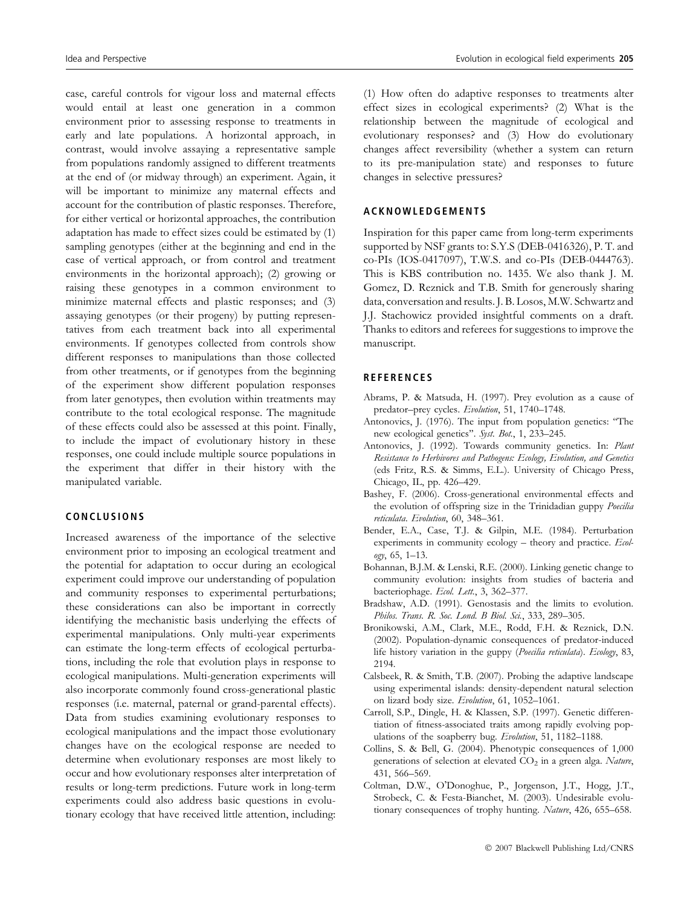case, careful controls for vigour loss and maternal effects would entail at least one generation in a common environment prior to assessing response to treatments in early and late populations. A horizontal approach, in contrast, would involve assaying a representative sample from populations randomly assigned to different treatments at the end of (or midway through) an experiment. Again, it will be important to minimize any maternal effects and account for the contribution of plastic responses. Therefore, for either vertical or horizontal approaches, the contribution adaptation has made to effect sizes could be estimated by (1) sampling genotypes (either at the beginning and end in the case of vertical approach, or from control and treatment environments in the horizontal approach); (2) growing or raising these genotypes in a common environment to minimize maternal effects and plastic responses; and (3) assaying genotypes (or their progeny) by putting representatives from each treatment back into all experimental environments. If genotypes collected from controls show different responses to manipulations than those collected from other treatments, or if genotypes from the beginning of the experiment show different population responses from later genotypes, then evolution within treatments may contribute to the total ecological response. The magnitude of these effects could also be assessed at this point. Finally, to include the impact of evolutionary history in these responses, one could include multiple source populations in the experiment that differ in their history with the manipulated variable.

#### CONCLUSIONS

Increased awareness of the importance of the selective environment prior to imposing an ecological treatment and the potential for adaptation to occur during an ecological experiment could improve our understanding of population and community responses to experimental perturbations; these considerations can also be important in correctly identifying the mechanistic basis underlying the effects of experimental manipulations. Only multi-year experiments can estimate the long-term effects of ecological perturbations, including the role that evolution plays in response to ecological manipulations. Multi-generation experiments will also incorporate commonly found cross-generational plastic responses (i.e. maternal, paternal or grand-parental effects). Data from studies examining evolutionary responses to ecological manipulations and the impact those evolutionary changes have on the ecological response are needed to determine when evolutionary responses are most likely to occur and how evolutionary responses alter interpretation of results or long-term predictions. Future work in long-term experiments could also address basic questions in evolutionary ecology that have received little attention, including: (1) How often do adaptive responses to treatments alter effect sizes in ecological experiments? (2) What is the relationship between the magnitude of ecological and evolutionary responses? and (3) How do evolutionary changes affect reversibility (whether a system can return to its pre-manipulation state) and responses to future changes in selective pressures?

#### ACKNOWLEDGEMENTS

Inspiration for this paper came from long-term experiments supported by NSF grants to: S.Y.S (DEB-0416326), P. T. and co-PIs (IOS-0417097), T.W.S. and co-PIs (DEB-0444763). This is KBS contribution no. 1435. We also thank J. M. Gomez, D. Reznick and T.B. Smith for generously sharing data, conversation and results. J. B. Losos, M.W. Schwartz and J.J. Stachowicz provided insightful comments on a draft. Thanks to editors and referees for suggestions to improve the manuscript.

#### **REFERENCES**

- Abrams, P. & Matsuda, H. (1997). Prey evolution as a cause of predator–prey cycles. Evolution, 51, 1740–1748.
- Antonovics, J. (1976). The input from population genetics: ''The new ecological genetics''. Syst. Bot., 1, 233–245.
- Antonovics, J. (1992). Towards community genetics. In: Plant Resistance to Herbivores and Pathogens: Ecology, Evolution, and Genetics (eds Fritz, R.S. & Simms, E.L.). University of Chicago Press, Chicago, IL, pp. 426–429.
- Bashey, F. (2006). Cross-generational environmental effects and the evolution of offspring size in the Trinidadian guppy Poecilia reticulata. Evolution, 60, 348–361.
- Bender, E.A., Case, T.J. & Gilpin, M.E. (1984). Perturbation experiments in community ecology - theory and practice. Ecology, 65, 1–13.
- Bohannan, B.J.M. & Lenski, R.E. (2000). Linking genetic change to community evolution: insights from studies of bacteria and bacteriophage. Ecol. Lett., 3, 362-377.
- Bradshaw, A.D. (1991). Genostasis and the limits to evolution. Philos. Trans. R. Soc. Lond. B Biol. Sci., 333, 289-305.
- Bronikowski, A.M., Clark, M.E., Rodd, F.H. & Reznick, D.N. (2002). Population-dynamic consequences of predator-induced life history variation in the guppy (Poecilia reticulata). Ecology, 83, 2194.
- Calsbeek, R. & Smith, T.B. (2007). Probing the adaptive landscape using experimental islands: density-dependent natural selection on lizard body size. Evolution, 61, 1052–1061.
- Carroll, S.P., Dingle, H. & Klassen, S.P. (1997). Genetic differentiation of fitness-associated traits among rapidly evolving populations of the soapberry bug. Evolution, 51, 1182-1188.
- Collins, S. & Bell, G. (2004). Phenotypic consequences of 1,000 generations of selection at elevated  $CO<sub>2</sub>$  in a green alga. Nature, 431, 566–569.
- Coltman, D.W., O"Donoghue, P., Jorgenson, J.T., Hogg, J.T., Strobeck, C. & Festa-Bianchet, M. (2003). Undesirable evolutionary consequences of trophy hunting. Nature, 426, 655-658.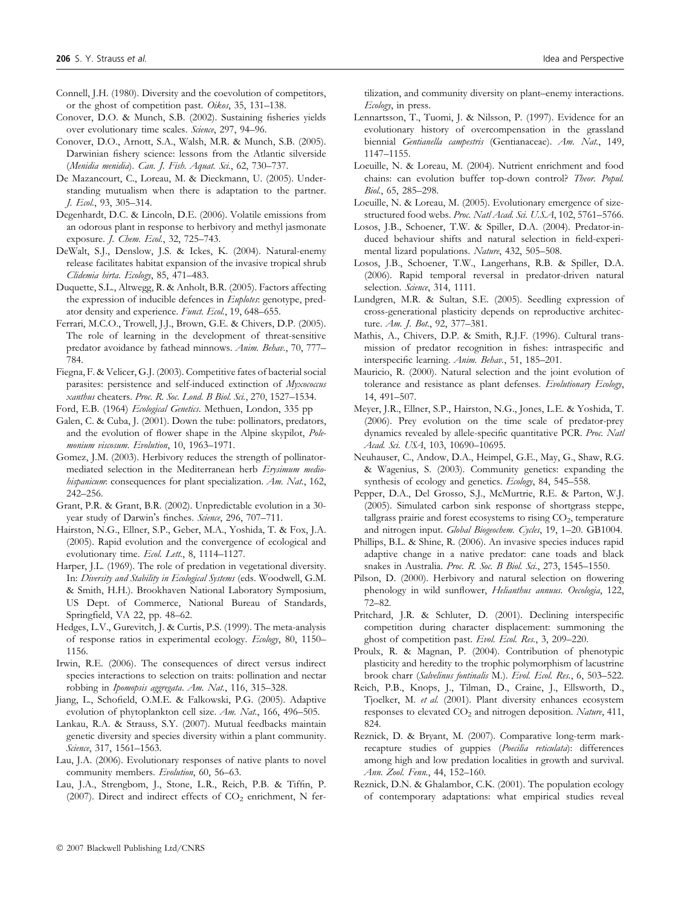- Connell, J.H. (1980). Diversity and the coevolution of competitors, or the ghost of competition past. Oikos, 35, 131–138.
- Conover, D.O. & Munch, S.B. (2002). Sustaining fisheries yields over evolutionary time scales. Science, 297, 94–96.
- Conover, D.O., Arnott, S.A., Walsh, M.R. & Munch, S.B. (2005). Darwinian fishery science: lessons from the Atlantic silverside (Menidia menidia). Can. J. Fish. Aquat. Sci., 62, 730–737.
- De Mazancourt, C., Loreau, M. & Dieckmann, U. (2005). Understanding mutualism when there is adaptation to the partner. J. Ecol., 93, 305–314.
- Degenhardt, D.C. & Lincoln, D.E. (2006). Volatile emissions from an odorous plant in response to herbivory and methyl jasmonate exposure. *J. Chem. Ecol.*, 32, 725-743.
- DeWalt, S.J., Denslow, J.S. & Ickes, K. (2004). Natural-enemy release facilitates habitat expansion of the invasive tropical shrub Clidemia hirta. Ecology, 85, 471–483.
- Duquette, S.L., Altwegg, R. & Anholt, B.R. (2005). Factors affecting the expression of inducible defences in *Euplotes*: genotype, predator density and experience. Funct. Ecol., 19, 648–655.
- Ferrari, M.C.O., Trowell, J.J., Brown, G.E. & Chivers, D.P. (2005). The role of learning in the development of threat-sensitive predator avoidance by fathead minnows. Anim. Behav., 70, 777– 784.
- Fiegna, F. & Velicer, G.J. (2003). Competitive fates of bacterial social parasites: persistence and self-induced extinction of Myxococcus xanthus cheaters. Proc. R. Soc. Lond. B Biol. Sci., 270, 1527–1534.
- Ford, E.B. (1964) Ecological Genetics. Methuen, London, 335 pp
- Galen, C. & Cuba, J. (2001). Down the tube: pollinators, predators, and the evolution of flower shape in the Alpine skypilot, Polemonium viscosum. Evolution, 10, 1963-1971.
- Gomez, J.M. (2003). Herbivory reduces the strength of pollinatormediated selection in the Mediterranean herb Erysimum mediohispanicum: consequences for plant specialization. Am. Nat., 162, 242–256.
- Grant, P.R. & Grant, B.R. (2002). Unpredictable evolution in a 30 year study of Darwin's finches. Science, 296, 707-711.
- Hairston, N.G., Ellner, S.P., Geber, M.A., Yoshida, T. & Fox, J.A. (2005). Rapid evolution and the convergence of ecological and evolutionary time. Ecol. Lett., 8, 1114-1127.
- Harper, J.L. (1969). The role of predation in vegetational diversity. In: Diversity and Stability in Ecological Systems (eds. Woodwell, G.M. & Smith, H.H.). Brookhaven National Laboratory Symposium, US Dept. of Commerce, National Bureau of Standards, Springfield, VA 22, pp. 48–62.
- Hedges, L.V., Gurevitch, J. & Curtis, P.S. (1999). The meta-analysis of response ratios in experimental ecology. Ecology, 80, 1150– 1156.
- Irwin, R.E. (2006). The consequences of direct versus indirect species interactions to selection on traits: pollination and nectar robbing in Ipomopsis aggregata. Am. Nat., 116, 315–328.
- Jiang, L., Schofield, O.M.E. & Falkowski, P.G. (2005). Adaptive evolution of phytoplankton cell size. Am. Nat., 166, 496-505.
- Lankau, R.A. & Strauss, S.Y. (2007). Mutual feedbacks maintain genetic diversity and species diversity within a plant community. Science, 317, 1561-1563.
- Lau, J.A. (2006). Evolutionary responses of native plants to novel community members. Evolution, 60, 56-63.
- Lau, J.A., Strengbom, J., Stone, L.R., Reich, P.B. & Tiffin, P. (2007). Direct and indirect effects of  $CO<sub>2</sub>$  enrichment, N fer-

tilization, and community diversity on plant–enemy interactions. Ecology, in press.

- Lennartsson, T., Tuomi, J. & Nilsson, P. (1997). Evidence for an evolutionary history of overcompensation in the grassland biennial Gentianella campestris (Gentianaceae). Am. Nat., 149, 1147–1155.
- Loeuille, N. & Loreau, M. (2004). Nutrient enrichment and food chains: can evolution buffer top-down control? Theor. Popul. Biol., 65, 285–298.
- Loeuille, N. & Loreau, M. (2005). Evolutionary emergence of sizestructured food webs. Proc. Natl Acad. Sci. U.S.A, 102, 5761-5766.
- Losos, J.B., Schoener, T.W. & Spiller, D.A. (2004). Predator-induced behaviour shifts and natural selection in field-experimental lizard populations. Nature, 432, 505–508.
- Losos, J.B., Schoener, T.W., Langerhans, R.B. & Spiller, D.A. (2006). Rapid temporal reversal in predator-driven natural selection. Science, 314, 1111.
- Lundgren, M.R. & Sultan, S.E. (2005). Seedling expression of cross-generational plasticity depends on reproductive architecture. Am. *J. Bot.*, 92, 377–381.
- Mathis, A., Chivers, D.P. & Smith, R.J.F. (1996). Cultural transmission of predator recognition in fishes: intraspecific and interspecific learning. Anim. Behav., 51, 185–201.
- Mauricio, R. (2000). Natural selection and the joint evolution of tolerance and resistance as plant defenses. Evolutionary Ecology, 14, 491–507.
- Meyer, J.R., Ellner, S.P., Hairston, N.G., Jones, L.E. & Yoshida, T. (2006). Prey evolution on the time scale of predator-prey dynamics revealed by allele-specific quantitative PCR. Proc. Natl Acad. Sci. USA, 103, 10690-10695.
- Neuhauser, C., Andow, D.A., Heimpel, G.E., May, G., Shaw, R.G. & Wagenius, S. (2003). Community genetics: expanding the synthesis of ecology and genetics. Ecology, 84, 545-558.
- Pepper, D.A., Del Grosso, S.J., McMurtrie, R.E. & Parton, W.J. (2005). Simulated carbon sink response of shortgrass steppe, tallgrass prairie and forest ecosystems to rising  $CO<sub>2</sub>$ , temperature and nitrogen input. Global Biogeochem. Cycles, 19, 1-20. GB1004.
- Phillips, B.L. & Shine, R. (2006). An invasive species induces rapid adaptive change in a native predator: cane toads and black snakes in Australia. Proc. R. Soc. B Biol. Sci., 273, 1545–1550.
- Pilson, D. (2000). Herbivory and natural selection on flowering phenology in wild sunflower, Helianthus annuus. Oecologia, 122, 72–82.
- Pritchard, J.R. & Schluter, D. (2001). Declining interspecific competition during character displacement: summoning the ghost of competition past. Evol. Ecol. Res., 3, 209-220.
- Proulx, R. & Magnan, P. (2004). Contribution of phenotypic plasticity and heredity to the trophic polymorphism of lacustrine brook charr (Salvelinus fontinalis M.). Evol. Ecol. Res., 6, 503–522.
- Reich, P.B., Knops, J., Tilman, D., Craine, J., Ellsworth, D., Tjoelker, M. et al. (2001). Plant diversity enhances ecosystem responses to elevated  $CO<sub>2</sub>$  and nitrogen deposition. Nature, 411, 824.
- Reznick, D. & Bryant, M. (2007). Comparative long-term markrecapture studies of guppies (Poecilia reticulata): differences among high and low predation localities in growth and survival. Ann. Zool. Fenn., 44, 152-160.
- Reznick, D.N. & Ghalambor, C.K. (2001). The population ecology of contemporary adaptations: what empirical studies reveal